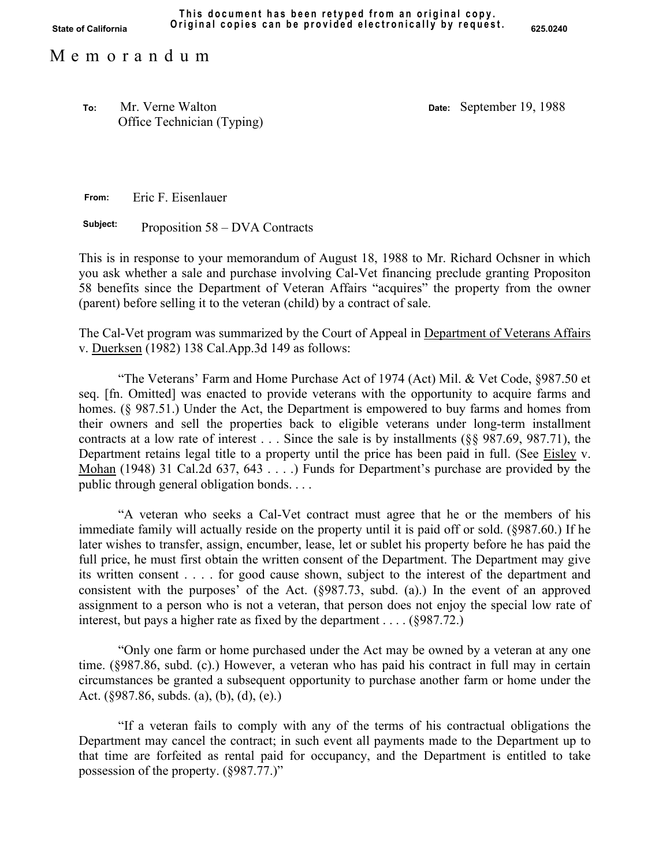Mr. Verne Walton Office Technician (Typing) **To: Date:** September 19, 1988

**From:** Eric F. Eisenlauer

**Subject:** Proposition 58 – DVA Contracts

This is in response to your memorandum of August 18, 1988 to Mr. Richard Ochsner in which you ask whether a sale and purchase involving Cal-Vet financing preclude granting Propositon 58 benefits since the Department of Veteran Affairs "acquires" the property from the owner (parent) before selling it to the veteran (child) by a contract of sale.

The Cal-Vet program was summarized by the Court of Appeal in Department of Veterans Affairs v. Duerksen (1982) 138 Cal.App.3d 149 as follows:

"The Veterans' Farm and Home Purchase Act of 1974 (Act) Mil. & Vet Code, §987.50 et seq. [fn. Omitted] was enacted to provide veterans with the opportunity to acquire farms and homes. (§ 987.51.) Under the Act, the Department is empowered to buy farms and homes from their owners and sell the properties back to eligible veterans under long-term installment contracts at a low rate of interest . . . Since the sale is by installments (§§ 987.69, 987.71), the Department retains legal title to a property until the price has been paid in full. (See Eisley v. Mohan (1948) 31 Cal.2d 637, 643 . . . .) Funds for Department's purchase are provided by the public through general obligation bonds. . . .

"A veteran who seeks a Cal-Vet contract must agree that he or the members of his immediate family will actually reside on the property until it is paid off or sold. (§987.60.) If he later wishes to transfer, assign, encumber, lease, let or sublet his property before he has paid the full price, he must first obtain the written consent of the Department. The Department may give its written consent . . . . for good cause shown, subject to the interest of the department and consistent with the purposes' of the Act. (§987.73, subd. (a).) In the event of an approved assignment to a person who is not a veteran, that person does not enjoy the special low rate of interest, but pays a higher rate as fixed by the department . . . . (§987.72.)

"Only one farm or home purchased under the Act may be owned by a veteran at any one time. (§987.86, subd. (c).) However, a veteran who has paid his contract in full may in certain circumstances be granted a subsequent opportunity to purchase another farm or home under the Act. (§987.86, subds. (a), (b), (d), (e).)

"If a veteran fails to comply with any of the terms of his contractual obligations the Department may cancel the contract; in such event all payments made to the Department up to that time are forfeited as rental paid for occupancy, and the Department is entitled to take possession of the property. (§987.77.)"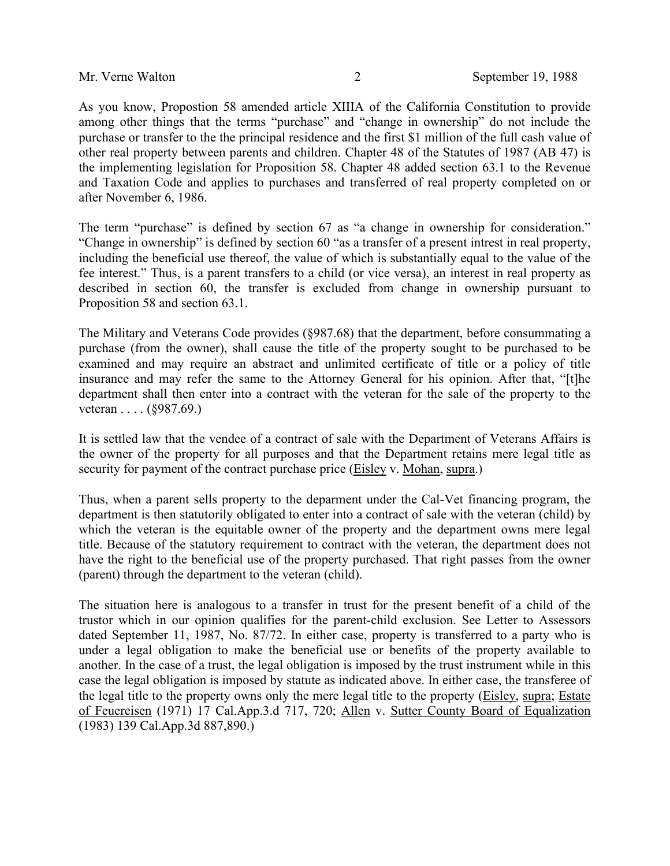As you know, Propostion 58 amended article XIIIA of the California Constitution to provide among other things that the terms "purchase" and "change in ownership" do not include the purchase or transfer to the the principal residence and the first \$1 million of the full cash value of other real property between parents and children. Chapter 48 of the Statutes of 1987 (AB 47) is the implementing legislation for Proposition 58. Chapter 48 added section 63.1 to the Revenue and Taxation Code and applies to purchases and transferred of real property completed on or after November 6, 1986.

The term "purchase" is defined by section 67 as "a change in ownership for consideration." "Change in ownership" is defined by section 60 "as a transfer of a present intrest in real property, including the beneficial use thereof, the value of which is substantially equal to the value of the fee interest." Thus, is a parent transfers to a child (or vice versa), an interest in real property as described in section 60, the transfer is excluded from change in ownership pursuant to Proposition 58 and section 63.1.

The Military and Veterans Code provides (§987.68) that the department, before consummating a purchase (from the owner), shall cause the title of the property sought to be purchased to be examined and may require an abstract and unlimited certificate of title or a policy of title insurance and may refer the same to the Attorney General for his opinion. After that, "[t]he department shall then enter into a contract with the veteran for the sale of the property to the veteran . . . . (§987.69.)

It is settled law that the vendee of a contract of sale with the Department of Veterans Affairs is the owner of the property for all purposes and that the Department retains mere legal title as security for payment of the contract purchase price (Eisley v. Mohan, supra.)

Thus, when a parent sells property to the deparment under the Cal-Vet financing program, the department is then statutorily obligated to enter into a contract of sale with the veteran (child) by which the veteran is the equitable owner of the property and the department owns mere legal title. Because of the statutory requirement to contract with the veteran, the department does not have the right to the beneficial use of the property purchased. That right passes from the owner (parent) through the department to the veteran (child).

The situation here is analogous to a transfer in trust for the present benefit of a child of the trustor which in our opinion qualifies for the parent-child exclusion. See Letter to Assessors dated September 11, 1987, No. 87/72. In either case, property is transferred to a party who is under a legal obligation to make the beneficial use or benefits of the property available to another. In the case of a trust, the legal obligation is imposed by the trust instrument while in this case the legal obligation is imposed by statute as indicated above. In either case, the transferee of the legal title to the property owns only the mere legal title to the property (Eisley, supra; Estate of Feuereisen (1971) 17 Cal.App.3.d 717, 720; Allen v. Sutter County Board of Equalization (1983) 139 Cal.App.3d 887,890.)